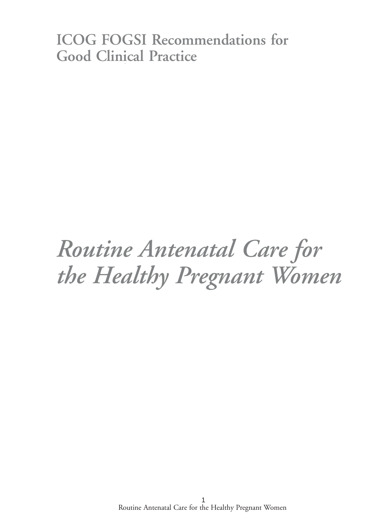# **ICOG FOGSI Recommendations for Good Clinical Practice**

# *Routine Antenatal Care for the Healthy Pregnant Women*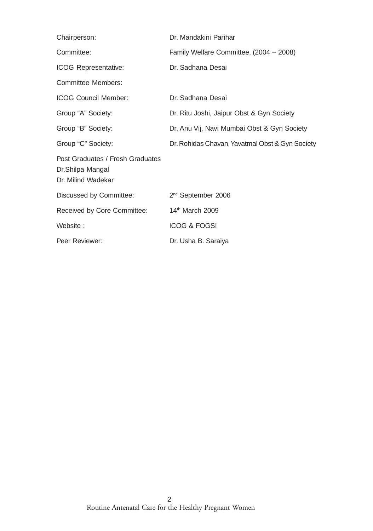| Chairperson:                                                               | Dr. Mandakini Parihar                           |
|----------------------------------------------------------------------------|-------------------------------------------------|
| Committee:                                                                 | Family Welfare Committee. (2004 - 2008)         |
| <b>ICOG Representative:</b>                                                | Dr. Sadhana Desai                               |
| <b>Committee Members:</b>                                                  |                                                 |
| <b>ICOG Council Member:</b>                                                | Dr. Sadhana Desai                               |
| Group "A" Society:                                                         | Dr. Ritu Joshi, Jaipur Obst & Gyn Society       |
| Group "B" Society:                                                         | Dr. Anu Vij, Navi Mumbai Obst & Gyn Society     |
| Group "C" Society:                                                         | Dr. Rohidas Chavan, Yavatmal Obst & Gyn Society |
| Post Graduates / Fresh Graduates<br>Dr.Shilpa Mangal<br>Dr. Milind Wadekar |                                                 |
| Discussed by Committee:                                                    | 2 <sup>nd</sup> September 2006                  |
| Received by Core Committee:                                                | 14th March 2009                                 |
| Website:                                                                   | <b>ICOG &amp; FOGSI</b>                         |
| Peer Reviewer:                                                             | Dr. Usha B. Saraiya                             |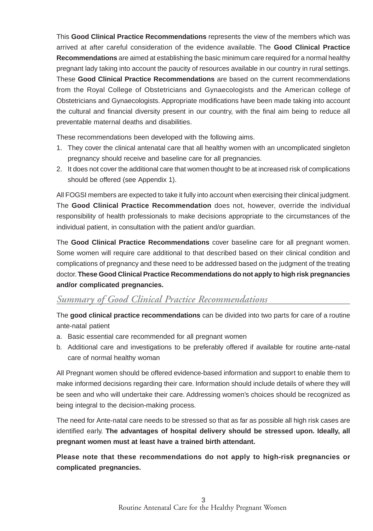This **Good Clinical Practice Recommendations** represents the view of the members which was arrived at after careful consideration of the evidence available. The **Good Clinical Practice Recommendations** are aimed at establishing the basic minimum care required for a normal healthy pregnant lady taking into account the paucity of resources available in our country in rural settings. These **Good Clinical Practice Recommendations** are based on the current recommendations from the Royal College of Obstetricians and Gynaecologists and the American college of Obstetricians and Gynaecologists. Appropriate modifications have been made taking into account the cultural and financial diversity present in our country, with the final aim being to reduce all preventable maternal deaths and disabilities.

These recommendations been developed with the following aims.

- 1. They cover the clinical antenatal care that all healthy women with an uncomplicated singleton pregnancy should receive and baseline care for all pregnancies.
- 2. It does not cover the additional care that women thought to be at increased risk of complications should be offered (see Appendix 1).

All FOGSI members are expected to take it fully into account when exercising their clinical judgment. The **Good Clinical Practice Recommendation** does not, however, override the individual responsibility of health professionals to make decisions appropriate to the circumstances of the individual patient, in consultation with the patient and/or guardian.

The **Good Clinical Practice Recommendations** cover baseline care for all pregnant women. Some women will require care additional to that described based on their clinical condition and complications of pregnancy and these need to be addressed based on the judgment of the treating doctor. **These Good Clinical Practice Recommendations do not apply to high risk pregnancies and/or complicated pregnancies.**

# *Summary of Good Clinical Practice Recommendations*

The **good clinical practice recommendations** can be divided into two parts for care of a routine ante-natal patient

- a. Basic essential care recommended for all pregnant women
- b. Additional care and investigations to be preferably offered if available for routine ante-natal care of normal healthy woman

All Pregnant women should be offered evidence-based information and support to enable them to make informed decisions regarding their care. Information should include details of where they will be seen and who will undertake their care. Addressing women's choices should be recognized as being integral to the decision-making process.

The need for Ante-natal care needs to be stressed so that as far as possible all high risk cases are identified early. **The advantages of hospital delivery should be stressed upon. Ideally, all pregnant women must at least have a trained birth attendant.**

**Please note that these recommendations do not apply to high-risk pregnancies or complicated pregnancies.**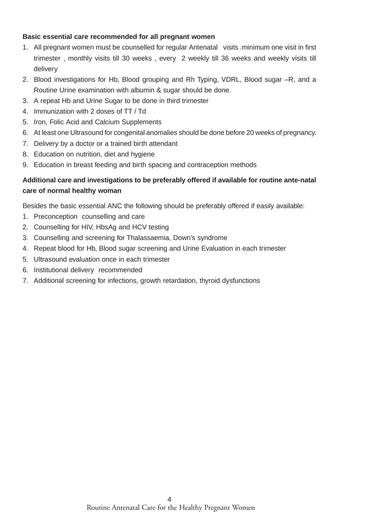#### **Basic essential care recommended for all pregnant women**

- 1. All pregnant women must be counselled for regular Antenatal visits .minimum one visit in first trimester , monthly visits till 30 weeks , every 2 weekly till 36 weeks and weekly visits till delivery
- 2. Blood investigations for Hb, Blood grouping and Rh Typing, VDRL, Blood sugar –R, and a Routine Urine examination with albumin & sugar should be done.
- 3. A repeat Hb and Urine Sugar to be done in third trimester
- 4. Immunization with 2 doses of TT / Td
- 5. Iron, Folic Acid and Calcium Supplements
- 6. At least one Ultrasound for congenital anomalies should be done before 20 weeks of pregnancy.
- 7. Delivery by a doctor or a trained birth attendant
- 8. Education on nutrition, diet and hygiene
- 9. Education in breast feeding and birth spacing and contraception methods

#### **Additional care and investigations to be preferably offered if available for routine ante-natal care of normal healthy woman**

Besides the basic essential ANC the following should be preferably offered if easily available:

- 1. Preconception counselling and care
- 2. Counselling for HIV, HbsAg and HCV testing
- 3. Counselling and screening for Thalassaemia, Down's syndrome
- 4. Repeat blood for Hb, Blood sugar screening and Urine Evaluation in each trimester
- 5. Ultrasound evaluation once in each trimester
- 6. Institutional delivery recommended
- 7. Additional screening for infections, growth retardation, thyroid dysfunctions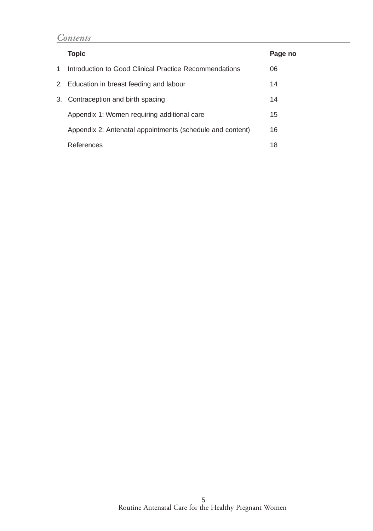# *Contents*

|    | <b>Topic</b>                                              | Page no |
|----|-----------------------------------------------------------|---------|
| 1. | Introduction to Good Clinical Practice Recommendations    | 06      |
|    | 2. Education in breast feeding and labour                 | 14      |
|    | 3. Contraception and birth spacing                        | 14      |
|    | Appendix 1: Women requiring additional care               | 15      |
|    | Appendix 2: Antenatal appointments (schedule and content) | 16      |
|    | References                                                | 18      |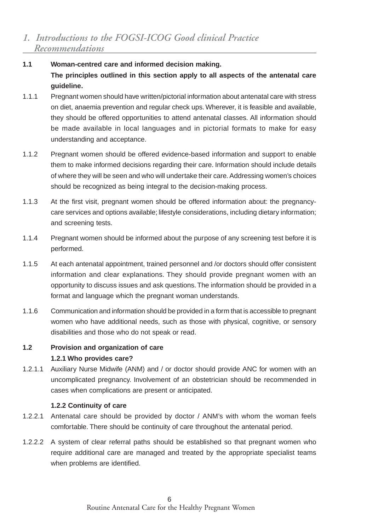- **1.1 Woman-centred care and informed decision making. The principles outlined in this section apply to all aspects of the antenatal care guideline.**
- 1.1.1 Pregnant women should have written/pictorial information about antenatal care with stress on diet, anaemia prevention and regular check ups. Wherever, it is feasible and available, they should be offered opportunities to attend antenatal classes. All information should be made available in local languages and in pictorial formats to make for easy understanding and acceptance.
- 1.1.2 Pregnant women should be offered evidence-based information and support to enable them to make informed decisions regarding their care. Information should include details of where they will be seen and who will undertake their care. Addressing women's choices should be recognized as being integral to the decision-making process.
- 1.1.3 At the first visit, pregnant women should be offered information about: the pregnancycare services and options available; lifestyle considerations, including dietary information; and screening tests.
- 1.1.4 Pregnant women should be informed about the purpose of any screening test before it is performed.
- 1.1.5 At each antenatal appointment, trained personnel and /or doctors should offer consistent information and clear explanations. They should provide pregnant women with an opportunity to discuss issues and ask questions. The information should be provided in a format and language which the pregnant woman understands.
- 1.1.6 Communication and information should be provided in a form that is accessible to pregnant women who have additional needs, such as those with physical, cognitive, or sensory disabilities and those who do not speak or read.

#### **1.2 Provision and organization of care 1.2.1 Who provides care?**

1.2.1.1 Auxiliary Nurse Midwife (ANM) and / or doctor should provide ANC for women with an uncomplicated pregnancy. Involvement of an obstetrician should be recommended in cases when complications are present or anticipated.

#### **1.2.2 Continuity of care**

- 1.2.2.1 Antenatal care should be provided by doctor / ANM's with whom the woman feels comfortable. There should be continuity of care throughout the antenatal period.
- 1.2.2.2 A system of clear referral paths should be established so that pregnant women who require additional care are managed and treated by the appropriate specialist teams when problems are identified.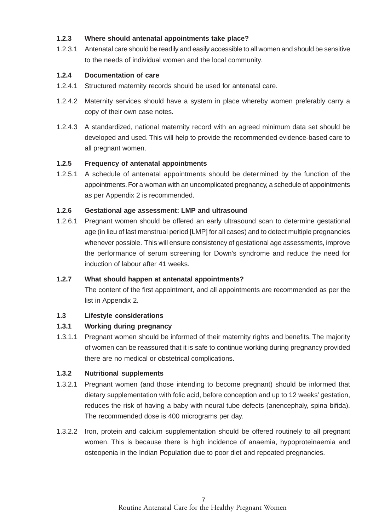#### **1.2.3 Where should antenatal appointments take place?**

1.2.3.1 Antenatal care should be readily and easily accessible to all women and should be sensitive to the needs of individual women and the local community.

#### **1.2.4 Documentation of care**

- 1.2.4.1 Structured maternity records should be used for antenatal care.
- 1.2.4.2 Maternity services should have a system in place whereby women preferably carry a copy of their own case notes.
- 1.2.4.3 A standardized, national maternity record with an agreed minimum data set should be developed and used. This will help to provide the recommended evidence-based care to all pregnant women.

#### **1.2.5 Frequency of antenatal appointments**

1.2.5.1 A schedule of antenatal appointments should be determined by the function of the appointments. For a woman with an uncomplicated pregnancy, a schedule of appointments as per Appendix 2 is recommended.

#### **1.2.6 Gestational age assessment: LMP and ultrasound**

1.2.6.1 Pregnant women should be offered an early ultrasound scan to determine gestational age (in lieu of last menstrual period [LMP] for all cases) and to detect multiple pregnancies whenever possible. This will ensure consistency of gestational age assessments, improve the performance of serum screening for Down's syndrome and reduce the need for induction of labour after 41 weeks.

#### **1.2.7 What should happen at antenatal appointments?**

The content of the first appointment, and all appointments are recommended as per the list in Appendix 2.

#### **1.3 Lifestyle considerations**

#### **1.3.1 Working during pregnancy**

1.3.1.1 Pregnant women should be informed of their maternity rights and benefits. The majority of women can be reassured that it is safe to continue working during pregnancy provided there are no medical or obstetrical complications.

#### **1.3.2 Nutritional supplements**

- 1.3.2.1 Pregnant women (and those intending to become pregnant) should be informed that dietary supplementation with folic acid, before conception and up to 12 weeks' gestation, reduces the risk of having a baby with neural tube defects (anencephaly, spina bifida). The recommended dose is 400 micrograms per day.
- 1.3.2.2 Iron, protein and calcium supplementation should be offered routinely to all pregnant women. This is because there is high incidence of anaemia, hypoproteinaemia and osteopenia in the Indian Population due to poor diet and repeated pregnancies.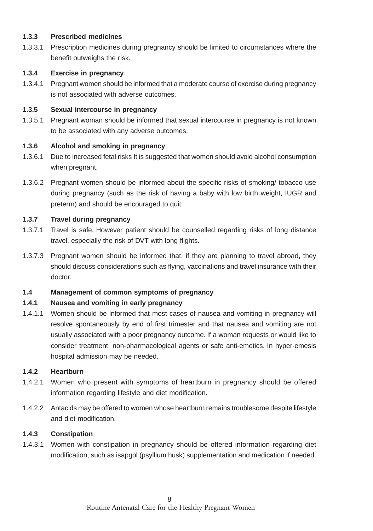#### **1.3.3 Prescribed medicines**

1.3.3.1 Prescription medicines during pregnancy should be limited to circumstances where the benefit outweighs the risk.

#### **1.3.4 Exercise in pregnancy**

1.3.4.1 Pregnant women should be informed that a moderate course of exercise during pregnancy is not associated with adverse outcomes.

#### **1.3.5 Sexual intercourse in pregnancy**

1.3.5.1 Pregnant woman should be informed that sexual intercourse in pregnancy is not known to be associated with any adverse outcomes.

#### **1.3.6 Alcohol and smoking in pregnancy**

- 1.3.6.1 Due to increased fetal risks It is suggested that women should avoid alcohol consumption when pregnant.
- 1.3.6.2 Pregnant women should be informed about the specific risks of smoking/ tobacco use during pregnancy (such as the risk of having a baby with low birth weight, IUGR and preterm) and should be encouraged to quit.

#### **1.3.7 Travel during pregnancy**

- 1.3.7.1 Travel is safe. However patient should be counselled regarding risks of long distance travel, especially the risk of DVT with long flights.
- 1.3.7.3 Pregnant women should be informed that, if they are planning to travel abroad, they should discuss considerations such as flying, vaccinations and travel insurance with their doctor.

#### **1.4 Management of common symptoms of pregnancy**

#### **1.4.1 Nausea and vomiting in early pregnancy**

1.4.1.1 Women should be informed that most cases of nausea and vomiting in pregnancy will resolve spontaneously by end of first trimester and that nausea and vomiting are not usually associated with a poor pregnancy outcome. If a woman requests or would like to consider treatment, non-pharmacological agents or safe anti-emetics. In hyper-emesis hospital admission may be needed.

#### **1.4.2 Heartburn**

- 1.4.2.1 Women who present with symptoms of heartburn in pregnancy should be offered information regarding lifestyle and diet modification.
- 1.4.2.2 Antacids may be offered to women whose heartburn remains troublesome despite lifestyle and diet modification.

#### **1.4.3 Constipation**

1.4.3.1 Women with constipation in pregnancy should be offered information regarding diet modification, such as isapgol (psyllium husk) supplementation and medication if needed.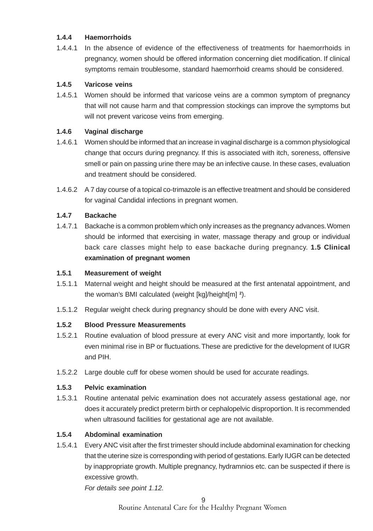#### **1.4.4 Haemorrhoids**

1.4.4.1 In the absence of evidence of the effectiveness of treatments for haemorrhoids in pregnancy, women should be offered information concerning diet modification. If clinical symptoms remain troublesome, standard haemorrhoid creams should be considered.

#### **1.4.5 Varicose veins**

1.4.5.1 Women should be informed that varicose veins are a common symptom of pregnancy that will not cause harm and that compression stockings can improve the symptoms but will not prevent varicose veins from emerging.

#### **1.4.6 Vaginal discharge**

- 1.4.6.1 Women should be informed that an increase in vaginal discharge is a common physiological change that occurs during pregnancy. If this is associated with itch, soreness, offensive smell or pain on passing urine there may be an infective cause. In these cases, evaluation and treatment should be considered.
- 1.4.6.2 A 7 day course of a topical co-trimazole is an effective treatment and should be considered for vaginal Candidal infections in pregnant women.

#### **1.4.7 Backache**

1.4.7.1 Backache is a common problem which only increases as the pregnancy advances. Women should be informed that exercising in water, massage therapy and group or individual back care classes might help to ease backache during pregnancy. **1.5 Clinical examination of pregnant women**

#### **1.5.1 Measurement of weight**

- 1.5.1.1 Maternal weight and height should be measured at the first antenatal appointment, and the woman's BMI calculated (weight [kg]/height[m] **<sup>2</sup>** ).
- 1.5.1.2 Regular weight check during pregnancy should be done with every ANC visit.

#### **1.5.2 Blood Pressure Measurements**

- 1.5.2.1 Routine evaluation of blood pressure at every ANC visit and more importantly, look for even minimal rise in BP or fluctuations. These are predictive for the development of IUGR and PIH.
- 1.5.2.2 Large double cuff for obese women should be used for accurate readings.

#### **1.5.3 Pelvic examination**

1.5.3.1 Routine antenatal pelvic examination does not accurately assess gestational age, nor does it accurately predict preterm birth or cephalopelvic disproportion. It is recommended when ultrasound facilities for gestational age are not available.

#### **1.5.4 Abdominal examination**

1.5.4.1 Every ANC visit after the first trimester should include abdominal examination for checking that the uterine size is corresponding with period of gestations. Early IUGR can be detected by inappropriate growth. Multiple pregnancy, hydramnios etc. can be suspected if there is excessive growth.

For details see point 1.12.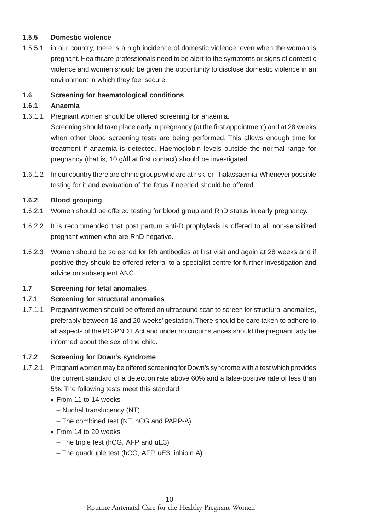#### **1.5.5 Domestic violence**

1.5.5.1 in our country, there is a high incidence of domestic violence, even when the woman is pregnant. Healthcare professionals need to be alert to the symptoms or signs of domestic violence and women should be given the opportunity to disclose domestic violence in an environment in which they feel secure.

#### **1.6 Screening for haematological conditions**

#### **1.6.1 Anaemia**

1.6.1.1 Pregnant women should be offered screening for anaemia.

Screening should take place early in pregnancy (at the first appointment) and at 28 weeks when other blood screening tests are being performed. This allows enough time for treatment if anaemia is detected. Haemoglobin levels outside the normal range for pregnancy (that is, 10 g/dl at first contact) should be investigated.

1.6.1.2 In our country there are ethnic groups who are at risk for Thalassaemia. Whenever possible testing for it and evaluation of the fetus if needed should be offered

#### **1.6.2 Blood grouping**

- 1.6.2.1 Women should be offered testing for blood group and RhD status in early pregnancy.
- 1.6.2.2 It is recommended that post partum anti-D prophylaxis is offered to all non-sensitized pregnant women who are RhD negative.
- 1.6.2.3 Women should be screened for Rh antibodies at first visit and again at 28 weeks and if positive they should be offered referral to a specialist centre for further investigation and advice on subsequent ANC.

#### **1.7 Screening for fetal anomalies**

#### **1.7.1 Screening for structural anomalies**

1.7.1.1 Pregnant women should be offered an ultrasound scan to screen for structural anomalies, preferably between 18 and 20 weeks' gestation. There should be care taken to adhere to all aspects of the PC-PNDT Act and under no circumstances should the pregnant lady be informed about the sex of the child.

#### **1.7.2 Screening for Down's syndrome**

- 1.7.2.1 Pregnant women may be offered screening for Down's syndrome with a test which provides the current standard of a detection rate above 60% and a false-positive rate of less than 5%. The following tests meet this standard:
	- From 11 to 14 weeks
		- Nuchal translucency (NT)
		- The combined test (NT, hCG and PAPP-A)
	- From 14 to 20 weeks
		- The triple test (hCG, AFP and uE3)
		- The quadruple test (hCG, AFP, uE3, inhibin A)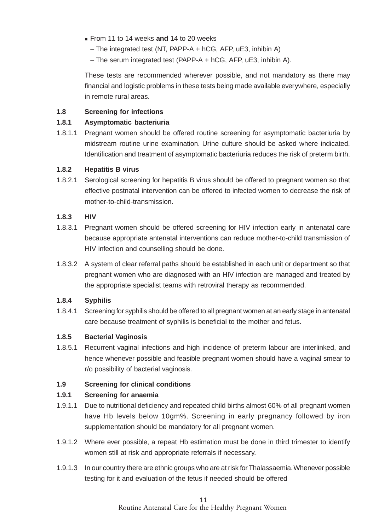- From 11 to 14 weeks **and** 14 to 20 weeks
	- The integrated test (NT, PAPP-A + hCG, AFP, uE3, inhibin A)
	- The serum integrated test (PAPP-A + hCG, AFP, uE3, inhibin A).

These tests are recommended wherever possible, and not mandatory as there may financial and logistic problems in these tests being made available everywhere, especially in remote rural areas.

#### **1.8 Screening for infections**

#### **1.8.1 Asymptomatic bacteriuria**

1.8.1.1 Pregnant women should be offered routine screening for asymptomatic bacteriuria by midstream routine urine examination. Urine culture should be asked where indicated. Identification and treatment of asymptomatic bacteriuria reduces the risk of preterm birth.

#### **1.8.2 Hepatitis B virus**

1.8.2.1 Serological screening for hepatitis B virus should be offered to pregnant women so that effective postnatal intervention can be offered to infected women to decrease the risk of mother-to-child-transmission.

#### **1.8.3 HIV**

- 1.8.3.1 Pregnant women should be offered screening for HIV infection early in antenatal care because appropriate antenatal interventions can reduce mother-to-child transmission of HIV infection and counselling should be done.
- 1.8.3.2 A system of clear referral paths should be established in each unit or department so that pregnant women who are diagnosed with an HIV infection are managed and treated by the appropriate specialist teams with retroviral therapy as recommended.

#### **1.8.4 Syphilis**

1.8.4.1 Screening for syphilis should be offered to all pregnant women at an early stage in antenatal care because treatment of syphilis is beneficial to the mother and fetus.

#### **1.8.5 Bacterial Vaginosis**

1.8.5.1 Recurrent vaginal infections and high incidence of preterm labour are interlinked, and hence whenever possible and feasible pregnant women should have a vaginal smear to r/o possibility of bacterial vaginosis.

#### **1.9 Screening for clinical conditions**

#### **1.9.1 Screening for anaemia**

- 1.9.1.1 Due to nutritional deficiency and repeated child births almost 60% of all pregnant women have Hb levels below 10gm%. Screening in early pregnancy followed by iron supplementation should be mandatory for all pregnant women.
- 1.9.1.2 Where ever possible, a repeat Hb estimation must be done in third trimester to identify women still at risk and appropriate referrals if necessary.
- 1.9.1.3 In our country there are ethnic groups who are at risk for Thalassaemia. Whenever possible testing for it and evaluation of the fetus if needed should be offered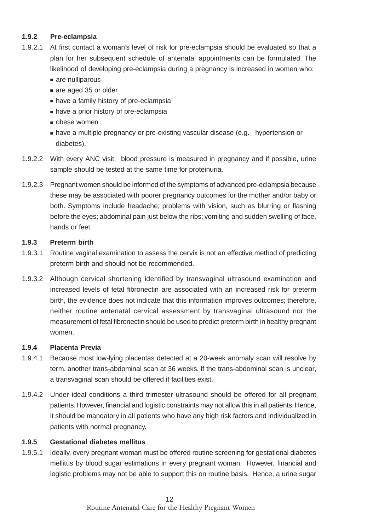#### **1.9.2 Pre-eclampsia**

- 1.9.2.1 At first contact a woman's level of risk for pre-eclampsia should be evaluated so that a plan for her subsequent schedule of antenatal appointments can be formulated. The likelihood of developing pre-eclampsia during a pregnancy is increased in women who:
	- are nulliparous
	- are aged 35 or older
	- have a family history of pre-eclampsia
	- have a prior history of pre-eclampsia
	- obese women
	- have a multiple pregnancy or pre-existing vascular disease (e.g. hypertension or diabetes).
- 1.9.2.2 With every ANC visit, blood pressure is measured in pregnancy and if possible, urine sample should be tested at the same time for proteinuria.
- 1.9.2.3 Pregnant women should be informed of the symptoms of advanced pre-eclampsia because these may be associated with poorer pregnancy outcomes for the mother and/or baby or both. Symptoms include headache; problems with vision, such as blurring or flashing before the eyes; abdominal pain just below the ribs; vomiting and sudden swelling of face, hands or feet.

#### **1.9.3 Preterm birth**

- 1.9.3.1 Routine vaginal examination to assess the cervix is not an effective method of predicting preterm birth and should not be recommended.
- 1.9.3.2 Although cervical shortening identified by transvaginal ultrasound examination and increased levels of fetal fibronectin are associated with an increased risk for preterm birth, the evidence does not indicate that this information improves outcomes; therefore, neither routine antenatal cervical assessment by transvaginal ultrasound nor the measurement of fetal fibronectin should be used to predict preterm birth in healthy pregnant women.

#### **1.9.4 Placenta Previa**

- 1.9.4.1 Because most low-lying placentas detected at a 20-week anomaly scan will resolve by term. another trans-abdominal scan at 36 weeks. If the trans-abdominal scan is unclear, a transvaginal scan should be offered if facilities exist.
- 1.9.4.2 Under ideal conditions a third trimester ultrasound should be offered for all pregnant patients. However, financial and logistic constraints may not allow this in all patients. Hence, it should be mandatory in all patients who have any high risk factors and individualized in patients with normal pregnancy.

#### **1.9.5 Gestational diabetes mellitus**

1.9.5.1 Ideally, every pregnant woman must be offered routine screening for gestational diabetes mellitus by blood sugar estimations in every pregnant woman. However, financial and logistic problems may not be able to support this on routine basis. Hence, a urine sugar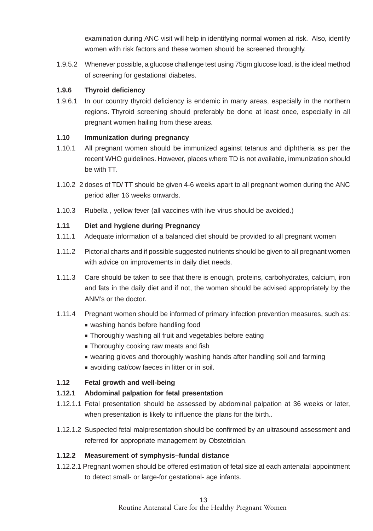examination during ANC visit will help in identifying normal women at risk. Also, identify women with risk factors and these women should be screened throughly.

1.9.5.2 Whenever possible, a glucose challenge test using 75gm glucose load, is the ideal method of screening for gestational diabetes.

#### **1.9.6 Thyroid deficiency**

1.9.6.1 In our country thyroid deficiency is endemic in many areas, especially in the northern regions. Thyroid screening should preferably be done at least once, especially in all pregnant women hailing from these areas.

#### **1.10 Immunization during pregnancy**

- 1.10.1 All pregnant women should be immunized against tetanus and diphtheria as per the recent WHO guidelines. However, places where TD is not available, immunization should be with TT.
- 1.10.2 2 doses of TD/ TT should be given 4-6 weeks apart to all pregnant women during the ANC period after 16 weeks onwards.
- 1.10.3 Rubella , yellow fever (all vaccines with live virus should be avoided.)

#### **1.11 Diet and hygiene during Pregnancy**

- 1.11.1 Adequate information of a balanced diet should be provided to all pregnant women
- 1.11.2 Pictorial charts and if possible suggested nutrients should be given to all pregnant women with advice on improvements in daily diet needs.
- 1.11.3 Care should be taken to see that there is enough, proteins, carbohydrates, calcium, iron and fats in the daily diet and if not, the woman should be advised appropriately by the ANM's or the doctor.
- 1.11.4 Pregnant women should be informed of primary infection prevention measures, such as:
	- washing hands before handling food
	- Thoroughly washing all fruit and vegetables before eating
	- Thoroughly cooking raw meats and fish
	- wearing gloves and thoroughly washing hands after handling soil and farming
	- avoiding cat/cow faeces in litter or in soil.

#### **1.12 Fetal growth and well-being**

#### **1.12.1 Abdominal palpation for fetal presentation**

- 1.12.1.1 Fetal presentation should be assessed by abdominal palpation at 36 weeks or later, when presentation is likely to influence the plans for the birth..
- 1.12.1.2 Suspected fetal malpresentation should be confirmed by an ultrasound assessment and referred for appropriate management by Obstetrician.

#### **1.12.2 Measurement of symphysis–fundal distance**

1.12.2.1 Pregnant women should be offered estimation of fetal size at each antenatal appointment to detect small- or large-for gestational- age infants.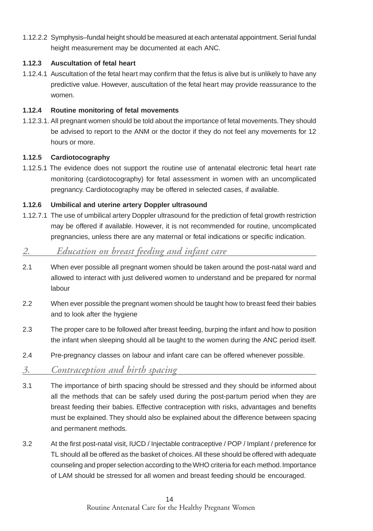1.12.2.2 Symphysis–fundal height should be measured at each antenatal appointment. Serial fundal height measurement may be documented at each ANC.

#### **1.12.3 Auscultation of fetal heart**

1.12.4.1 Auscultation of the fetal heart may confirm that the fetus is alive but is unlikely to have any predictive value. However, auscultation of the fetal heart may provide reassurance to the women.

#### **1.12.4 Routine monitoring of fetal movements**

1.12.3.1. All pregnant women should be told about the importance of fetal movements. They should be advised to report to the ANM or the doctor if they do not feel any movements for 12 hours or more.

#### **1.12.5 Cardiotocography**

1.12.5.1 The evidence does not support the routine use of antenatal electronic fetal heart rate monitoring (cardiotocography) for fetal assessment in women with an uncomplicated pregnancy. Cardiotocography may be offered in selected cases, if available.

#### **1.12.6 Umbilical and uterine artery Doppler ultrasound**

1.12.7.1 The use of umbilical artery Doppler ultrasound for the prediction of fetal growth restriction may be offered if available. However, it is not recommended for routine, uncomplicated pregnancies, unless there are any maternal or fetal indications or specific indication.

# *2. Education on breast feeding and infant care*

- 2.1 When ever possible all pregnant women should be taken around the post-natal ward and allowed to interact with just delivered women to understand and be prepared for normal labour
- 2.2 When ever possible the pregnant women should be taught how to breast feed their babies and to look after the hygiene
- 2.3 The proper care to be followed after breast feeding, burping the infant and how to position the infant when sleeping should all be taught to the women during the ANC period itself.
- 2.4 Pre-pregnancy classes on labour and infant care can be offered whenever possible.

### *3. Contraception and birth spacing*

- 3.1 The importance of birth spacing should be stressed and they should be informed about all the methods that can be safely used during the post-partum period when they are breast feeding their babies. Effective contraception with risks, advantages and benefits must be explained. They should also be explained about the difference between spacing and permanent methods.
- 3.2 At the first post-natal visit, IUCD / Injectable contraceptive / POP / Implant / preference for TL should all be offered as the basket of choices. All these should be offered with adequate counseling and proper selection according to the WHO criteria for each method. Importance of LAM should be stressed for all women and breast feeding should be encouraged.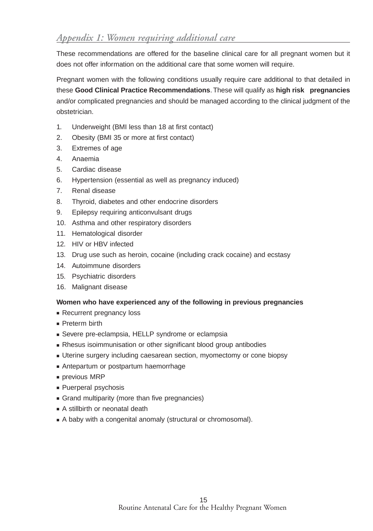These recommendations are offered for the baseline clinical care for all pregnant women but it does not offer information on the additional care that some women will require.

Pregnant women with the following conditions usually require care additional to that detailed in these **Good Clinical Practice Recommendations**. These will qualify as **high risk pregnancies** and/or complicated pregnancies and should be managed according to the clinical judgment of the obstetrician.

- 1. Underweight (BMI less than 18 at first contact)
- 2. Obesity (BMI 35 or more at first contact)
- 3. Extremes of age
- 4. Anaemia
- 5. Cardiac disease
- 6. Hypertension (essential as well as pregnancy induced)
- 7. Renal disease
- 8. Thyroid, diabetes and other endocrine disorders
- 9. Epilepsy requiring anticonvulsant drugs
- 10. Asthma and other respiratory disorders
- 11. Hematological disorder
- 12. HIV or HBV infected
- 13. Drug use such as heroin, cocaine (including crack cocaine) and ecstasy
- 14. Autoimmune disorders
- 15. Psychiatric disorders
- 16. Malignant disease

#### **Women who have experienced any of the following in previous pregnancies**

- Recurrent pregnancy loss
- Preterm birth
- Severe pre-eclampsia, HELLP syndrome or eclampsia
- Rhesus isoimmunisation or other significant blood group antibodies
- Uterine surgery including caesarean section, myomectomy or cone biopsy
- Antepartum or postpartum haemorrhage
- previous MRP
- Puerperal psychosis
- Grand multiparity (more than five pregnancies)
- A stillbirth or neonatal death
- A baby with a congenital anomaly (structural or chromosomal).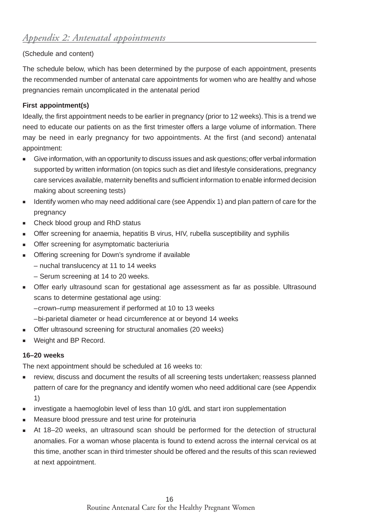#### (Schedule and content)

The schedule below, which has been determined by the purpose of each appointment, presents the recommended number of antenatal care appointments for women who are healthy and whose pregnancies remain uncomplicated in the antenatal period

#### **First appointment(s)**

Ideally, the first appointment needs to be earlier in pregnancy (prior to 12 weeks). This is a trend we need to educate our patients on as the first trimester offers a large volume of information. There may be need in early pregnancy for two appointments. At the first (and second) antenatal appointment:

- Give information, with an opportunity to discuss issues and ask questions; offer verbal information supported by written information (on topics such as diet and lifestyle considerations, pregnancy care services available, maternity benefits and sufficient information to enable informed decision making about screening tests)
- Identify women who may need additional care (see Appendix 1) and plan pattern of care for the pregnancy
- Check blood group and RhD status
- Offer screening for anaemia, hepatitis B virus, HIV, rubella susceptibility and syphilis
- Offer screening for asymptomatic bacteriuria
- Offering screening for Down's syndrome if available
	- nuchal translucency at 11 to 14 weeks
	- Serum screening at 14 to 20 weeks.
- Offer early ultrasound scan for gestational age assessment as far as possible. Ultrasound scans to determine gestational age using:
	- –crown–rump measurement if performed at 10 to 13 weeks
- –bi-parietal diameter or head circumference at or beyond 14 weeks
- Offer ultrasound screening for structural anomalies (20 weeks)
- Weight and BP Record.

#### **16–20 weeks**

The next appointment should be scheduled at 16 weeks to:

- review, discuss and document the results of all screening tests undertaken; reassess planned pattern of care for the pregnancy and identify women who need additional care (see Appendix 1)
- investigate a haemoglobin level of less than 10 g/dL and start iron supplementation
- Measure blood pressure and test urine for proteinuria
- At 18–20 weeks, an ultrasound scan should be performed for the detection of structural anomalies. For a woman whose placenta is found to extend across the internal cervical os at this time, another scan in third trimester should be offered and the results of this scan reviewed at next appointment.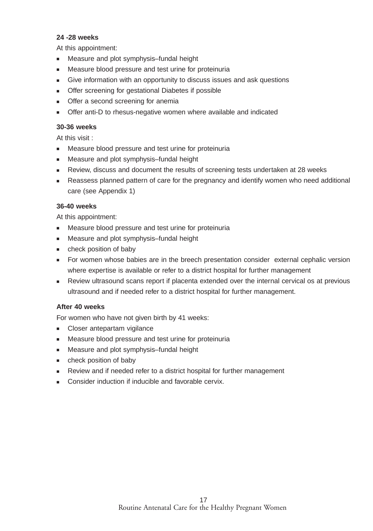#### **24 -28 weeks**

At this appointment:

- Measure and plot symphysis–fundal height
- Measure blood pressure and test urine for proteinuria
- Give information with an opportunity to discuss issues and ask questions
- Offer screening for gestational Diabetes if possible
- Offer a second screening for anemia
- Offer anti-D to rhesus-negative women where available and indicated

#### **30-36 weeks**

At this visit :

- Measure blood pressure and test urine for proteinuria
- Measure and plot symphysis–fundal height
- Review, discuss and document the results of screening tests undertaken at 28 weeks
- Reassess planned pattern of care for the pregnancy and identify women who need additional care (see Appendix 1)

#### **36-40 weeks**

At this appointment:

- Measure blood pressure and test urine for proteinuria
- Measure and plot symphysis–fundal height
- check position of baby
- For women whose babies are in the breech presentation consider external cephalic version where expertise is available or refer to a district hospital for further management
- Review ultrasound scans report if placenta extended over the internal cervical os at previous ultrasound and if needed refer to a district hospital for further management.

#### **After 40 weeks**

For women who have not given birth by 41 weeks:

- Closer antepartam vigilance
- Measure blood pressure and test urine for proteinuria
- Measure and plot symphysis-fundal height
- check position of baby
- Review and if needed refer to a district hospital for further management
- Consider induction if inducible and favorable cervix.